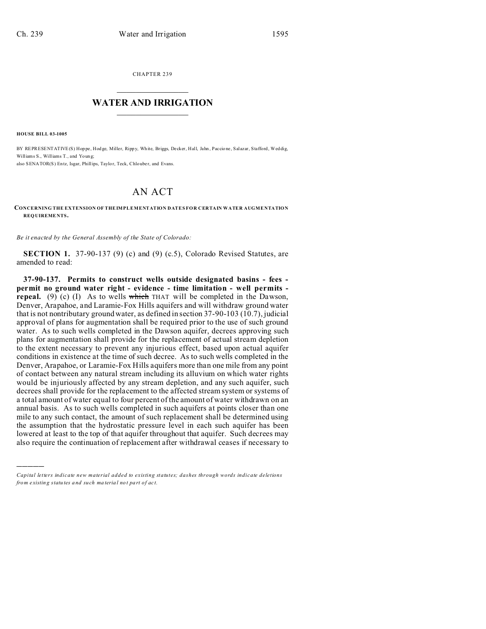CHAPTER 239  $\overline{\phantom{a}}$  , where  $\overline{\phantom{a}}$ 

## **WATER AND IRRIGATION**  $\_$   $\_$   $\_$   $\_$   $\_$   $\_$   $\_$   $\_$   $\_$

**HOUSE BILL 03-1005**

)))))

BY REPRESENTATIVE(S) Hop pe , Hod ge, Miller, Ripp y, Wh ite, Briggs, Decker, Hall, Jahn , Paccio ne , Salazar, Stafford, Weddig, Williams S., Williams T., and Young: also SENATOR(S) Entz, Isgar, Phillips, Taylor, Teck, Chlouber, and Evans.

## AN ACT

## **CONCERNING THE EXTENSION OF THEIMPLEMENTATION DATES FOR CERTAIN WATER AUGMENTATION REQUIREME NTS.**

*Be it enacted by the General Assembly of the State of Colorado:*

**SECTION 1.** 37-90-137 (9) (c) and (9) (c.5), Colorado Revised Statutes, are amended to read:

**37-90-137. Permits to construct wells outside designated basins - fees permit no ground water right - evidence - time limitation - well permits repeal.** (9) (c) (I) As to wells which THAT will be completed in the Dawson, Denver, Arapahoe, and Laramie-Fox Hills aquifers and will withdraw ground water that is not nontributary ground water, as defined in section 37-90-103 (10.7), judicial approval of plans for augmentation shall be required prior to the use of such ground water. As to such wells completed in the Dawson aquifer, decrees approving such plans for augmentation shall provide for the replacement of actual stream depletion to the extent necessary to prevent any injurious effect, based upon actual aquifer conditions in existence at the time of such decree. As to such wells completed in the Denver, Arapahoe, or Laramie-Fox Hills aquifers more than one mile from any point of contact between any natural stream including its alluvium on which water rights would be injuriously affected by any stream depletion, and any such aquifer, such decrees shall provide for the replacement to the affected stream system or systems of a total amount of water equal to four percent of the amount of water withdrawn on an annual basis. As to such wells completed in such aquifers at points closer than one mile to any such contact, the amount of such replacement shall be determined using the assumption that the hydrostatic pressure level in each such aquifer has been lowered at least to the top of that aquifer throughout that aquifer. Such decrees may also require the continuation of replacement after withdrawal ceases if necessary to

*Capital letters indicate new material added to existing statutes; dashes through words indicate deletions from e xistin g statu tes a nd such ma teria l no t pa rt of ac t.*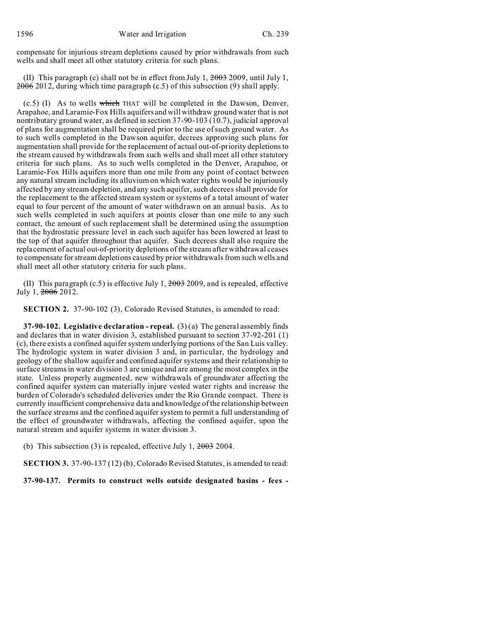compensate for injurious stream depletions caused by prior withdrawals from such wells and shall meet all other statutory criteria for such plans.

(II) This paragraph (c) shall not be in effect from July 1,  $2003$  2009, until July 1,  $2006$  2012, during which time paragraph (c.5) of this subsection (9) shall apply.

(c.5) (I) As to wells which THAT will be completed in the Dawson, Denver, Arapahoe, and Laramie-Fox Hills aquifers and will withdraw ground water that is not nontributary ground water, as defined in section 37-90-103 (10.7), judicial approval of plans for augmentation shall be required prior to the use of such ground water. As to such wells completed in the Dawson aquifer, decrees approving such plans for augmentation shall provide for the replacement of actual out-of-priority depletions to the stream caused by withdrawals from such wells and shall meet all other statutory criteria for such plans. As to such wells completed in the Denver, Arapahoe, or Laramie-Fox Hills aquifers more than one mile from any point of contact between any natural stream including its alluvium on which water rights would be injuriously affected by any stream depletion, and any such aquifer, such decrees shall provide for the replacement to the affected stream system or systems of a total amount of water equal to four percent of the amount of water withdrawn on an annual basis. As to such wells completed in such aquifers at points closer than one mile to any such contact, the amount of such replacement shall be determined using the assumption that the hydrostatic pressure level in each such aquifer has been lowered at least to the top of that aquifer throughout that aquifer. Such decrees shall also require the replacement of actual out-of-priority depletions of the stream after withdrawal ceases to compensate for stream depletions caused by prior withdrawals from such wells and shall meet all other statutory criteria for such plans.

(II) This paragraph  $(c.5)$  is effective July 1,  $2003$  2009, and is repealed, effective July 1, 2006 2012.

**SECTION 2.** 37-90-102 (3), Colorado Revised Statutes, is amended to read:

**37-90-102. Legislative declaration - repeal.** (3) (a) The general assembly finds and declares that in water division 3, established pursuant to section 37-92-201 (1) (c), there exists a confined aquifer system underlying portions of the San Luis valley. The hydrologic system in water division 3 and, in particular, the hydrology and geology of the shallow aquifer and confined aquifer systems and their relationship to surface streams in water division 3 are unique and are among the most complex in the state. Unless properly augmented, new withdrawals of groundwater affecting the confined aquifer system can materially injure vested water rights and increase the burden of Colorado's scheduled deliveries under the Rio Grande compact. There is currently insufficient comprehensive data and knowledge of the relationship between the surface streams and the confined aquifer system to permit a full understanding of the effect of groundwater withdrawals, affecting the confined aquifer, upon the natural stream and aquifer systems in water division 3.

(b) This subsection (3) is repealed, effective July 1,  $2003$  2004.

**SECTION 3.** 37-90-137 (12) (b), Colorado Revised Statutes, is amended to read:

**37-90-137. Permits to construct wells outside designated basins - fees -**